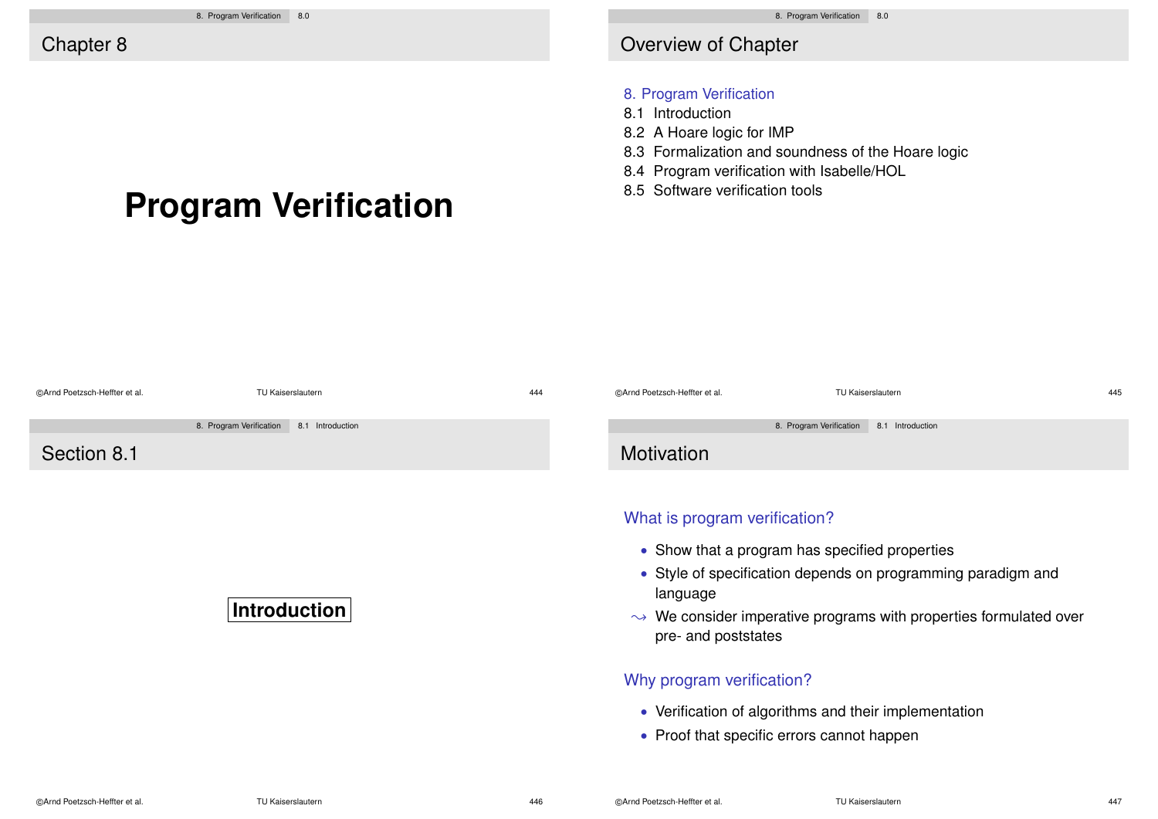# **Program Verification**

### Overview of Chapter

#### 8. Program Verification

- 8.1 Introduction
- 8.2 A Hoare logic for IMP
- 8.3 Formalization and soundness of the Hoare logic
- 8.4 Program verification with Isabelle/HOL
- 8.5 Software verification tools

| CArnd Poetzsch-Heffter et al. | TU Kaiserslautern                           | 444 | CArnd Poetzsch-Heffter et al.                                                                                                                                                                                                                                       | TU Kaiserslautern                           | 445 |  |
|-------------------------------|---------------------------------------------|-----|---------------------------------------------------------------------------------------------------------------------------------------------------------------------------------------------------------------------------------------------------------------------|---------------------------------------------|-----|--|
|                               | 8. Program Verification<br>8.1 Introduction |     |                                                                                                                                                                                                                                                                     | 8. Program Verification<br>8.1 Introduction |     |  |
| Section 8.1                   |                                             |     | Motivation                                                                                                                                                                                                                                                          |                                             |     |  |
| <b>Introduction</b>           |                                             |     | What is program verification?<br>• Show that a program has specified properties<br>• Style of specification depends on programming paradigm and<br>language<br>$\rightarrow$ We consider imperative programs with properties formulated over<br>pre- and poststates |                                             |     |  |
|                               |                                             |     | Why program verification?                                                                                                                                                                                                                                           |                                             |     |  |
|                               |                                             |     | • Verification of algorithms and their implementation                                                                                                                                                                                                               |                                             |     |  |

• Proof that specific errors cannot happen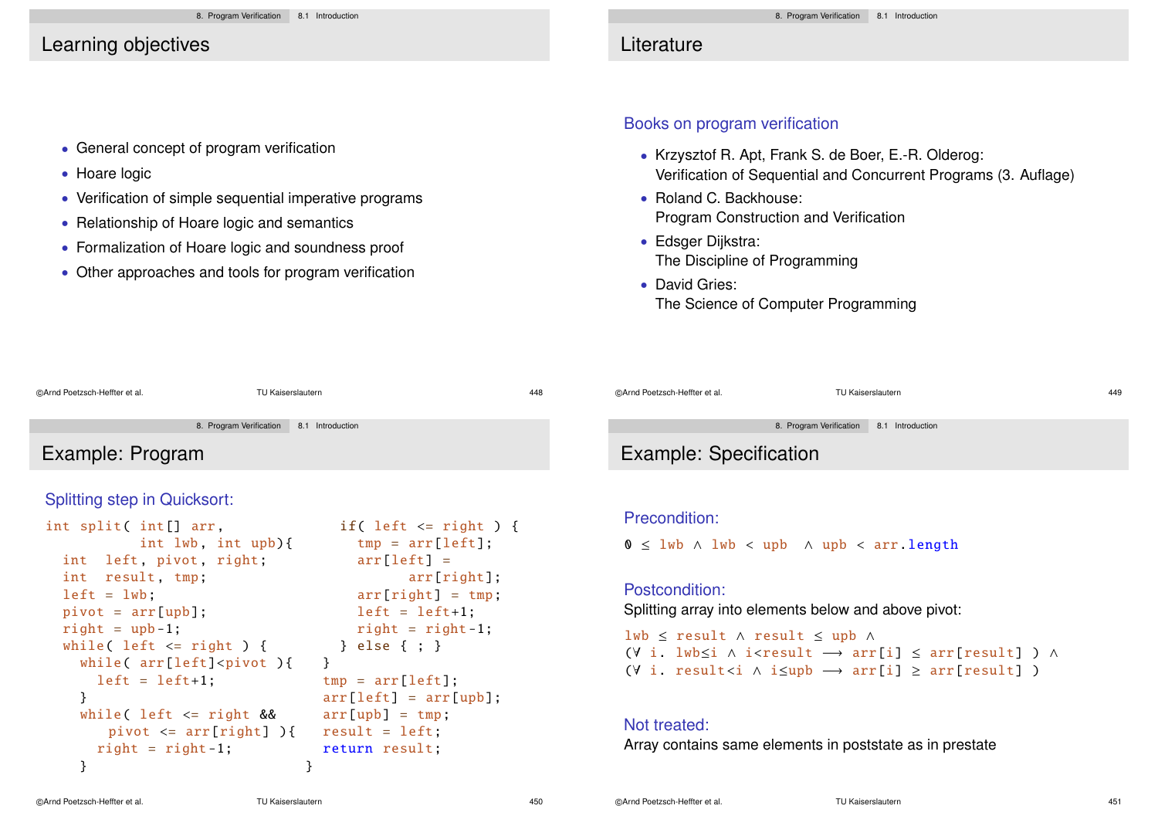## Learning objectives

• Hoare logic

• General concept of program verification

• Relationship of Hoare logic and semantics

• Verification of simple sequential imperative programs

• Formalization of Hoare logic and soundness proof • Other approaches and tools for program verification

## **Literature**

#### Books on program verification

- Krzysztof R. Apt, Frank S. de Boer, E.-R. Olderog: Verification of Sequential and Concurrent Programs (3. Auflage)
- Roland C. Backhouse: Program Construction and Verification
- Edsger Dijkstra: The Discipline of Programming
- David Gries: The Science of Computer Programming

| @Arnd Poetzsch-Heffter et al.                     | TU Kaiserslautern       | 448                         |  | @Arnd Poetzsch-Heffter et al. | TU Kaiserslautern                                                | 449 |
|---------------------------------------------------|-------------------------|-----------------------------|--|-------------------------------|------------------------------------------------------------------|-----|
|                                                   | 8. Program Verification | 8.1 Introduction            |  |                               | 8. Program Verification<br>8.1 Introduction                      |     |
| Example: Program                                  |                         |                             |  | Example: Specification        |                                                                  |     |
| <b>Splitting step in Quicksort:</b>               |                         |                             |  |                               |                                                                  |     |
| if( left $\le$ right ) {<br>int split( int[] arr, |                         |                             |  | Precondition:                 |                                                                  |     |
|                                                   | int $lwb$ , int $upb$ { | $tmp = arr[left]$ ;         |  |                               | $0 \leq l$ wb $\land$ lwb $\lt$ upb $\land$ upb $\lt$ arr length |     |
| int left, pivot, right;<br>int result, tmp;       |                         | $arr[left] =$<br>arr[right] |  |                               |                                                                  |     |

```
left = 1wbpivot = arr[upb];
right = upb-1;while( left \leq right) {
  while( arr[left]<pivot ){
    left = left+1;
  }
  while( left \leq right \&pivot \leq \arr\lceil \text{right} \rceil){
    right = right - 1;
  }
                                      arr[right] = tmp;
                                      left = left+1:
                                      right = \text{right} - 1:
                                    } else { ; }
                                 }
                                 tmp = arr[left]:
                                 arr[left] = arr[upb];arr[upb] = tmp;
                                 result = left;
                                  return result;
                                }
```
# mple: Specification

#### condition:

#### Postcondition:

Splitting array into elements below and above pivot:

lwb ≤ result ∧ result ≤ upb ∧ (∀ i. lwb≤i ∧ i<result −→ arr[i] ≤ arr[result] ) ∧  $(V i. result *in*  $\wedge$  i *in*  $\rightarrow$  arr[i] *on*  $\wedge$  arr[result] *on*$ 

#### Not treated:

Array contains same elements in poststate as in prestate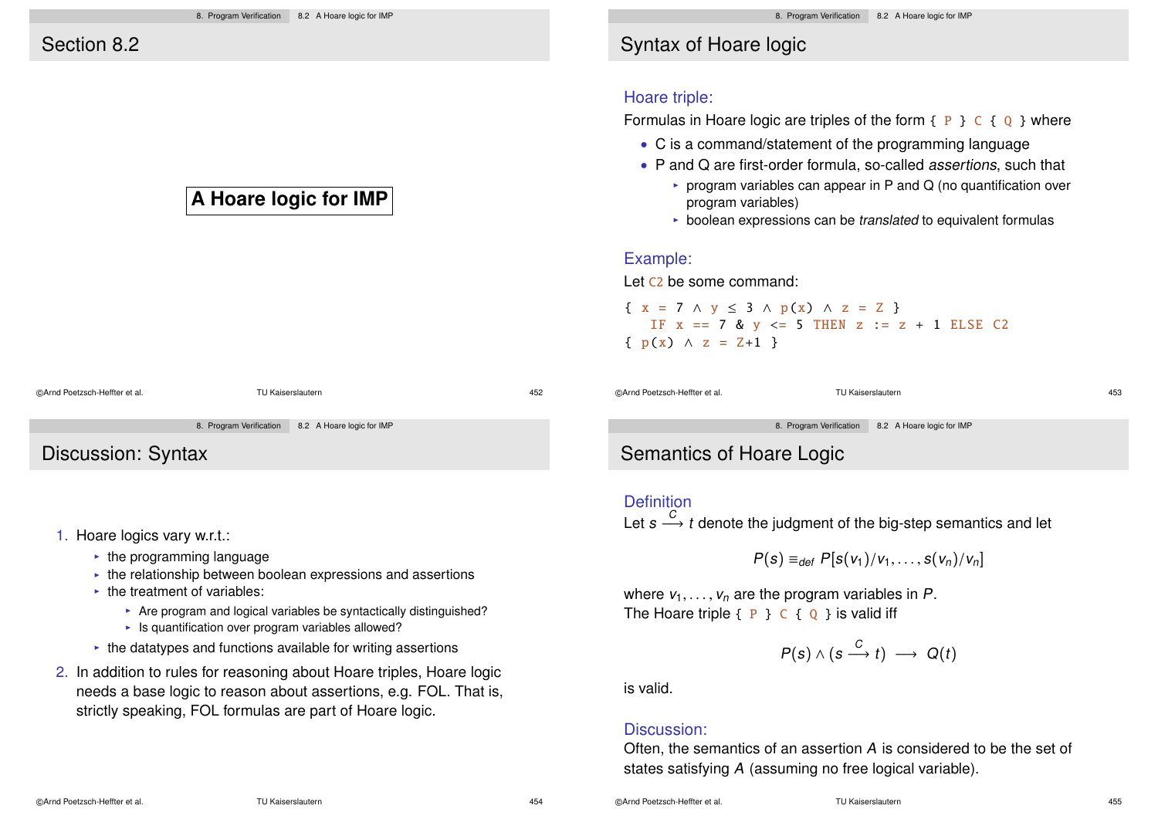## **A Hoare logic for IMP**

# ©Arnd Poetzsch-Heffter et al. TU Kaiserslautern 452

8. Program Verification 8.2 A Hoare logic for IMP

Discussion: Syntax

- 1. Hoare logics vary w.r.t.:
	- $\cdot$  the programming language
	- $\cdot$  the relationship between boolean expressions and assertions
	- $\cdot$  the treatment of variables:
		- $\triangleright$  Are program and logical variables be syntactically distinguished?
		- $\blacktriangleright$  Is quantification over program variables allowed?
	- $\cdot$  the datatypes and functions available for writing assertions
- 2. In addition to rules for reasoning about Hoare triples, Hoare logic needs a base logic to reason about assertions, e.g. FOL. That is, strictly speaking, FOL formulas are part of Hoare logic.

# Syntax of Hoare logic

#### Hoare triple:

Formulas in Hoare logic are triples of the form  $\{P\} \subset \{Q\}$  where

- C is a command/statement of the programming language
- P and Q are first-order formula, so-called *assertions*, such that
	- $\triangleright$  program variables can appear in P and Q (no quantification over program variables)
	- $\triangleright$  boolean expressions can be translated to equivalent formulas

#### Example:

Let C2 be some command:

$$
\{ x = 7 \land y \le 3 \land p(x) \land z = 2 \}
$$
  
If  $x == 7$  &  $y <= 5$  THEN  $z := z + 1$  ELSE C2  

$$
\{ p(x) \land z = Z+1 \}
$$

©Arnd Poetzsch-Heffter et al. TU Kaiserslautern 453

8. Program Verification 8.2 A Hoare logic for IMP

# Semantics of Hoare Logic

#### **Definition**

Let  $s \stackrel{C}{\longrightarrow} t$  denote the judgment of the big-step semantics and let

$$
P(s) \equiv_{def} P[s(v_1)/v_1, \ldots, s(v_n)/v_n]
$$

where  $v_1, \ldots, v_n$  are the program variables in P. The Hoare triple  $\{P\} \subset \{Q\}$  is valid iff

$$
P(s) \wedge (s \xrightarrow{C} t) \longrightarrow Q(t)
$$

is valid.

#### Discussion:

Often, the semantics of an assertion A is considered to be the set of states satisfying A (assuming no free logical variable).